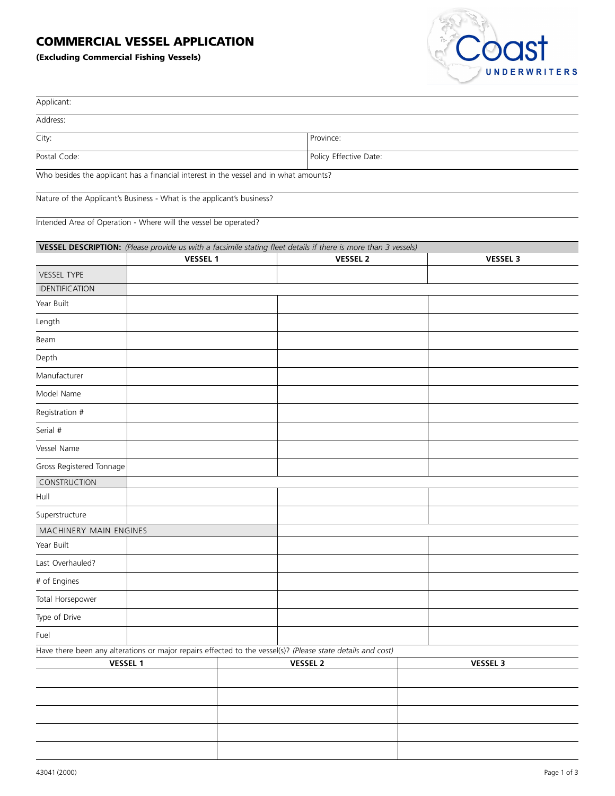## **COMMERCIAL VESSEL APPLICATION**

**(Excluding Commercial Fishing Vessels)**



| Applicant:                                                                                                  |                 |  |                                                                                                                |  |                 |
|-------------------------------------------------------------------------------------------------------------|-----------------|--|----------------------------------------------------------------------------------------------------------------|--|-----------------|
| Address:                                                                                                    |                 |  |                                                                                                                |  |                 |
| City:                                                                                                       |                 |  | Province:                                                                                                      |  |                 |
| Postal Code:                                                                                                |                 |  | Policy Effective Date:                                                                                         |  |                 |
| Who besides the applicant has a financial interest in the vessel and in what amounts?                       |                 |  |                                                                                                                |  |                 |
| Nature of the Applicant's Business - What is the applicant's business?                                      |                 |  |                                                                                                                |  |                 |
|                                                                                                             |                 |  |                                                                                                                |  |                 |
| Intended Area of Operation - Where will the vessel be operated?                                             |                 |  |                                                                                                                |  |                 |
|                                                                                                             |                 |  | VESSEL DESCRIPTION: (Please provide us with a facsimile stating fleet details if there is more than 3 vessels) |  |                 |
|                                                                                                             | <b>VESSEL 1</b> |  | <b>VESSEL 2</b>                                                                                                |  | <b>VESSEL 3</b> |
| VESSEL TYPE<br>IDENTIFICATION                                                                               |                 |  |                                                                                                                |  |                 |
| Year Built                                                                                                  |                 |  |                                                                                                                |  |                 |
| Length                                                                                                      |                 |  |                                                                                                                |  |                 |
| Beam                                                                                                        |                 |  |                                                                                                                |  |                 |
| Depth                                                                                                       |                 |  |                                                                                                                |  |                 |
| Manufacturer                                                                                                |                 |  |                                                                                                                |  |                 |
| Model Name                                                                                                  |                 |  |                                                                                                                |  |                 |
| Registration #                                                                                              |                 |  |                                                                                                                |  |                 |
|                                                                                                             |                 |  |                                                                                                                |  |                 |
| Serial #                                                                                                    |                 |  |                                                                                                                |  |                 |
| Vessel Name                                                                                                 |                 |  |                                                                                                                |  |                 |
| Gross Registered Tonnage                                                                                    |                 |  |                                                                                                                |  |                 |
| CONSTRUCTION<br>Hull                                                                                        |                 |  |                                                                                                                |  |                 |
| Superstructure                                                                                              |                 |  |                                                                                                                |  |                 |
| MACHINERY MAIN ENGINES                                                                                      |                 |  |                                                                                                                |  |                 |
| Year Built                                                                                                  |                 |  |                                                                                                                |  |                 |
| Last Overhauled?                                                                                            |                 |  |                                                                                                                |  |                 |
| # of Engines                                                                                                |                 |  |                                                                                                                |  |                 |
| Total Horsepower                                                                                            |                 |  |                                                                                                                |  |                 |
| Type of Drive                                                                                               |                 |  |                                                                                                                |  |                 |
| Fuel                                                                                                        |                 |  |                                                                                                                |  |                 |
| Have there been any alterations or major repairs effected to the vessel(s)? (Please state details and cost) |                 |  |                                                                                                                |  |                 |
| <b>VESSEL 1</b>                                                                                             |                 |  | <b>VESSEL 2</b>                                                                                                |  | <b>VESSEL 3</b> |
|                                                                                                             |                 |  |                                                                                                                |  |                 |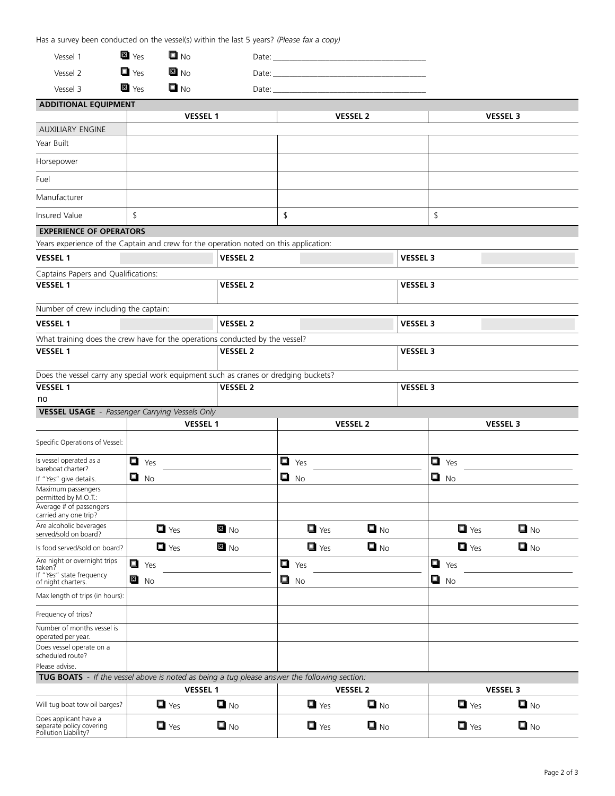Has a survey been conducted on the vessel(s) within the last 5 years? *(Please fax a copy)*

| Vessel 1 | <b>젤</b> Yes       | $\Box$ No | Date: |
|----------|--------------------|-----------|-------|
| Vessel 2 | $\mathbf{u}$ Yes   | EN No     | Date: |
| Vessel 3 | $\blacksquare$ Yes | U No      | Date: |

| <b>ADDITIONAL EQUIPMENT</b>                                                                  |                    |                   |                    |                   |                    |                   |
|----------------------------------------------------------------------------------------------|--------------------|-------------------|--------------------|-------------------|--------------------|-------------------|
|                                                                                              |                    | <b>VESSEL 1</b>   |                    | <b>VESSEL 2</b>   |                    | <b>VESSEL 3</b>   |
| <b>AUXILIARY ENGINE</b>                                                                      |                    |                   |                    |                   |                    |                   |
| Year Built                                                                                   |                    |                   |                    |                   |                    |                   |
| Horsepower                                                                                   |                    |                   |                    |                   |                    |                   |
| Fuel                                                                                         |                    |                   |                    |                   |                    |                   |
| Manufacturer                                                                                 |                    |                   |                    |                   |                    |                   |
| Insured Value                                                                                | \$                 |                   | \$                 |                   | \$                 |                   |
| <b>EXPERIENCE OF OPERATORS</b>                                                               |                    |                   |                    |                   |                    |                   |
| Years experience of the Captain and crew for the operation noted on this application:        |                    |                   |                    |                   |                    |                   |
| <b>VESSEL 1</b>                                                                              |                    | <b>VESSEL 2</b>   |                    | <b>VESSEL 3</b>   |                    |                   |
| Captains Papers and Qualifications:                                                          |                    |                   |                    |                   |                    |                   |
| VESSEL <sub>1</sub>                                                                          |                    | <b>VESSEL 2</b>   |                    | <b>VESSEL 3</b>   |                    |                   |
| Number of crew including the captain:                                                        |                    |                   |                    |                   |                    |                   |
| <b>VESSEL 1</b>                                                                              |                    | <b>VESSEL 2</b>   |                    | <b>VESSEL 3</b>   |                    |                   |
| What training does the crew have for the operations conducted by the vessel?                 |                    |                   |                    |                   |                    |                   |
| <b>VESSEL 1</b>                                                                              |                    | <b>VESSEL 2</b>   |                    | <b>VESSEL 3</b>   |                    |                   |
| Does the vessel carry any special work equipment such as cranes or dredging buckets?         |                    |                   |                    |                   |                    |                   |
| <b>VESSEL 1</b>                                                                              |                    | <b>VESSEL 2</b>   |                    | <b>VESSEL 3</b>   |                    |                   |
| no                                                                                           |                    |                   |                    |                   |                    |                   |
| <b>VESSEL USAGE</b> - Passenger Carrying Vessels Only                                        |                    |                   |                    |                   |                    |                   |
|                                                                                              |                    | <b>VESSEL 1</b>   |                    | <b>VESSEL 2</b>   |                    | <b>VESSEL 3</b>   |
| Specific Operations of Vessel:                                                               |                    |                   |                    |                   |                    |                   |
| Is vessel operated as a<br>bareboat charter?                                                 | $\Box$ Yes         |                   | $\Box$ Yes         |                   | $\Box$ Yes         |                   |
| If "Yes" give details.                                                                       | ◘<br><b>No</b>     |                   | ◘<br><b>No</b>     |                   | $\Box$ No          |                   |
| Maximum passengers<br>permitted by M.O.T.:                                                   |                    |                   |                    |                   |                    |                   |
| Average # of passengers<br>carried any one trip?                                             |                    |                   |                    |                   |                    |                   |
| Are alcoholic beverages<br>served/sold on board?                                             | $\blacksquare$ Yes | EI No             | $\Box$ Yes         | $\blacksquare$ No | $\blacksquare$ Yes | $\blacksquare$ No |
| Is food served/sold on board?                                                                | $\blacksquare$ Yes | EINO              | $\blacksquare$ Yes | $\blacksquare$ No | $\Box$ Yes         | $\blacksquare$ No |
| Are night or overnight trips<br>taken?<br>If "Yes" state frequency                           | Q<br>Yes           |                   | $\blacksquare$ Yes |                   | $\Box$ Yes         |                   |
| of night charters.                                                                           | 찝<br><b>No</b>     |                   | $\blacksquare$ No  |                   | $\Box$ No          |                   |
| Max length of trips (in hours):                                                              |                    |                   |                    |                   |                    |                   |
| Frequency of trips?                                                                          |                    |                   |                    |                   |                    |                   |
| Number of months vessel is<br>operated per year.                                             |                    |                   |                    |                   |                    |                   |
| Does vessel operate on a<br>scheduled route?                                                 |                    |                   |                    |                   |                    |                   |
| Please advise.                                                                               |                    |                   |                    |                   |                    |                   |
| TUG BOATS - If the vessel above is noted as being a tug please answer the following section: |                    |                   |                    |                   |                    |                   |
|                                                                                              | <b>VESSEL 1</b>    |                   | <b>VESSEL 2</b>    |                   | <b>VESSEL 3</b>    |                   |
| Will tug boat tow oil barges?                                                                | $\blacksquare$ Yes | $\blacksquare$ No | $\blacksquare$ Yes | $\blacksquare$ No | $\blacksquare$ Yes | $\blacksquare$ No |
| Does applicant have a<br>separate policy covering<br>Pollution Liability?                    | $\blacksquare$ Yes | $\blacksquare$ No | $\blacksquare$ Yes | $\blacksquare$ No | $\blacksquare$ Yes | $\blacksquare$ No |